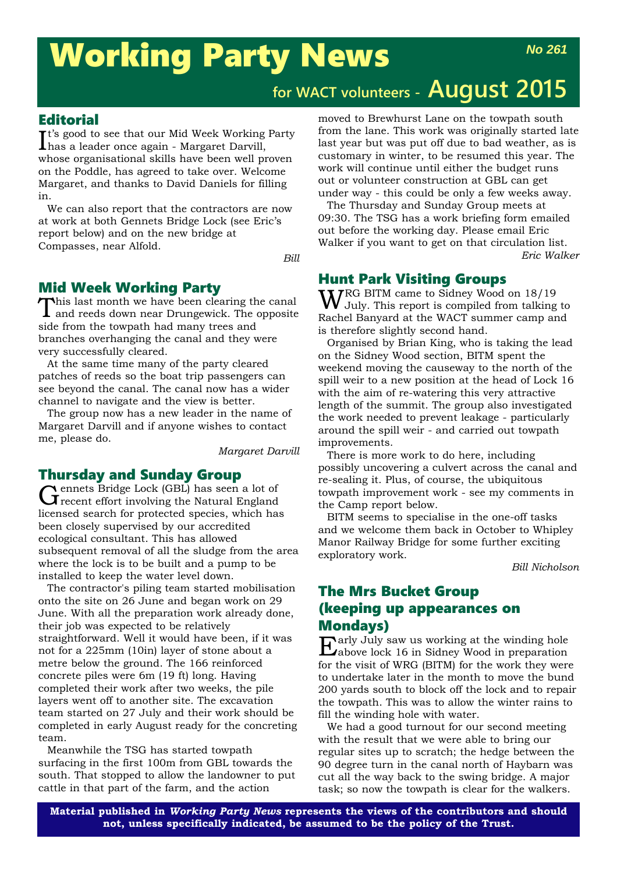# Working Party News

## **for WACT volunteers - August 2015**

#### **Editorial**

 $\mathbf{I}^{\text{t's}}$  good to see that our Mid Week Working Party has a leader once again - Margaret Darvill, has a leader once again - Margaret Darvill, whose organisational skills have been well proven on the Poddle, has agreed to take over. Welcome Margaret, and thanks to David Daniels for filling in.

We can also report that the contractors are now at work at both Gennets Bridge Lock (see Eric's report below) and on the new bridge at Compasses, near Alfold.

*Bill*

#### Mid Week Working Party

This last month we have been clearing the canal and reeds down near Drungewick. The opposite side from the towpath had many trees and branches overhanging the canal and they were very successfully cleared.

At the same time many of the party cleared patches of reeds so the boat trip passengers can see beyond the canal. The canal now has a wider channel to navigate and the view is better.

The group now has a new leader in the name of Margaret Darvill and if anyone wishes to contact me, please do.

*Margaret Darvill*

#### Thursday and Sunday Group

Gennets Bridge Lock (GBL) has seen a lot of recent effort involving the Natural England licensed search for protected species, which has been closely supervised by our accredited ecological consultant. This has allowed subsequent removal of all the sludge from the area where the lock is to be built and a pump to be installed to keep the water level down.

The contractor's piling team started mobilisation onto the site on 26 June and began work on 29 June. With all the preparation work already done, their job was expected to be relatively straightforward. Well it would have been, if it was not for a 225mm (10in) layer of stone about a metre below the ground. The 166 reinforced concrete piles were 6m (19 ft) long. Having completed their work after two weeks, the pile layers went off to another site. The excavation team started on 27 July and their work should be completed in early August ready for the concreting team.

Meanwhile the TSG has started towpath surfacing in the first 100m from GBL towards the south. That stopped to allow the landowner to put cattle in that part of the farm, and the action

moved to Brewhurst Lane on the towpath south from the lane. This work was originally started late last year but was put off due to bad weather, as is customary in winter, to be resumed this year. The work will continue until either the budget runs out or volunteer construction at GBL can get under way - this could be only a few weeks away.

The Thursday and Sunday Group meets at 09:30. The TSG has a work briefing form emailed out before the working day. Please email Eric Walker if you want to get on that circulation list. *Eric Walker*

#### Hunt Park Visiting Groups

WRG BITM came to Sidney Wood on 18/19 July. This report is compiled from talking to Rachel Banyard at the WACT summer camp and is therefore slightly second hand.

Organised by Brian King, who is taking the lead on the Sidney Wood section, BITM spent the weekend moving the causeway to the north of the spill weir to a new position at the head of Lock 16 with the aim of re-watering this very attractive length of the summit. The group also investigated the work needed to prevent leakage - particularly around the spill weir - and carried out towpath improvements.

There is more work to do here, including possibly uncovering a culvert across the canal and re-sealing it. Plus, of course, the ubiquitous towpath improvement work - see my comments in the Camp report below.

BITM seems to specialise in the one-off tasks and we welcome them back in October to Whipley Manor Railway Bridge for some further exciting exploratory work.

*Bill Nicholson*

#### The Mrs Bucket Group (keeping up appearances on Mondays)

 $\prod_{\text{1}\text{chove}}$  July saw us working at the winding hole Alabove lock 16 in Sidney Wood in preparation for the visit of WRG (BITM) for the work they were to undertake later in the month to move the bund 200 yards south to block off the lock and to repair the towpath. This was to allow the winter rains to fill the winding hole with water.

We had a good turnout for our second meeting with the result that we were able to bring our regular sites up to scratch; the hedge between the 90 degree turn in the canal north of Haybarn was cut all the way back to the swing bridge. A major task; so now the towpath is clear for the walkers.

**Material published in** *Working Party News* **represents the views of the contributors and should not, unless specifically indicated, be assumed to be the policy of the Trust.**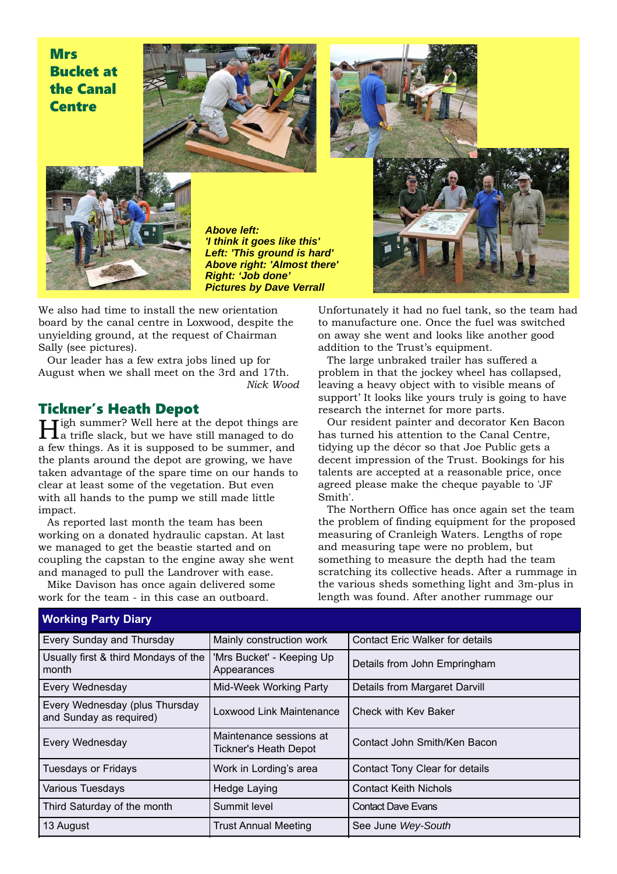### **Mrs** Bucket at the Canal **Centre**



*Above left: 'I think it goes like this' Left: 'This ground is hard' Above right: 'Almost there' Right: 'Job done' Pictures by Dave Verrall*

We also had time to install the new orientation board by the canal centre in Loxwood, despite the unyielding ground, at the request of Chairman Sally (see pictures).

Our leader has a few extra jobs lined up for August when we shall meet on the 3rd and 17th. *Nick Wood*

**Tickner's Heath Depot**<br>**LI** righ summer? Well here at the depot things are High summer? Well here at the depot things are<br>
I a trifle slack, but we have still managed to do a few things. As it is supposed to be summer, and the plants around the depot are growing, we have taken advantage of the spare time on our hands to clear at least some of the vegetation. But even with all hands to the pump we still made little impact.

As reported last month the team has been working on a donated hydraulic capstan. At last we managed to get the beastie started and on coupling the capstan to the engine away she went and managed to pull the Landrover with ease.

Mike Davison has once again delivered some work for the team - in this case an outboard.



Unfortunately it had no fuel tank, so the team had to manufacture one. Once the fuel was switched on away she went and looks like another good addition to the Trust's equipment.

The large unbraked trailer has suffered a problem in that the jockey wheel has collapsed, leaving a heavy object with to visible means of support' It looks like yours truly is going to have research the internet for more parts.

Our resident painter and decorator Ken Bacon has turned his attention to the Canal Centre, tidying up the décor so that Joe Public gets a decent impression of the Trust. Bookings for his talents are accepted at a reasonable price, once agreed please make the cheque payable to 'JF Smith'.

The Northern Office has once again set the team the problem of finding equipment for the proposed measuring of Cranleigh Waters. Lengths of rope and measuring tape were no problem, but something to measure the depth had the team scratching its collective heads. After a rummage in the various sheds something light and 3m-plus in length was found. After another rummage our

| <b>Working Party Diary</b>                                |                                                         |                                        |  |  |
|-----------------------------------------------------------|---------------------------------------------------------|----------------------------------------|--|--|
| Every Sunday and Thursday                                 | Mainly construction work                                | <b>Contact Eric Walker for details</b> |  |  |
| Usually first & third Mondays of the<br>month             | 'Mrs Bucket' - Keeping Up<br>Appearances                | Details from John Empringham           |  |  |
| Every Wednesday                                           | Mid-Week Working Party<br>Details from Margaret Darvill |                                        |  |  |
| Every Wednesday (plus Thursday<br>and Sunday as required) | Loxwood Link Maintenance<br>Check with Key Baker        |                                        |  |  |
| Every Wednesday                                           | Maintenance sessions at<br><b>Tickner's Heath Depot</b> | Contact John Smith/Ken Bacon           |  |  |
| <b>Tuesdays or Fridays</b>                                | Work in Lording's area                                  | Contact Tony Clear for details         |  |  |
| Various Tuesdays                                          | Hedge Laying                                            | <b>Contact Keith Nichols</b>           |  |  |
| Third Saturday of the month                               | Summit level                                            | <b>Contact Dave Evans</b>              |  |  |
| 13 August                                                 | <b>Trust Annual Meeting</b>                             | See June Wey-South                     |  |  |